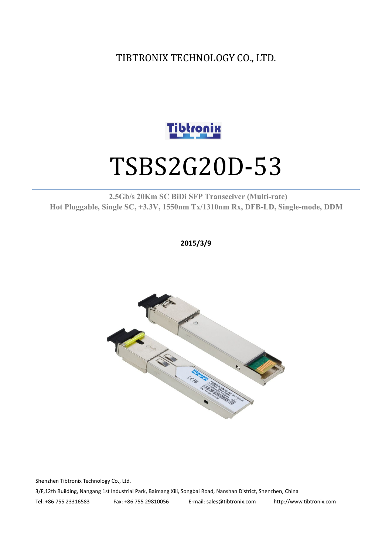TIBTRONIX TECHNOLOGY CO., LTD.



# TSBS2G20D-53

#### **2.5Gb/s 20Km SC BiDi SFP Transceiver (Multi-rate) Hot Pluggable, Single SC, +3.3V, 1550nm Tx/1310nm Rx, DFB-LD,Single-mode, DDM**

**2015/3/9**



Shenzhen Tibtronix Technology Co., Ltd. 3/F,12th Building, Nangang 1st Industrial Park, Baimang Xili, Songbai Road, Nanshan District, Shenzhen, China Tel: +86 755 23316583 Fax: +86 755 29810056 E-mail: sales@tibtronix.com http://www.tibtronix.com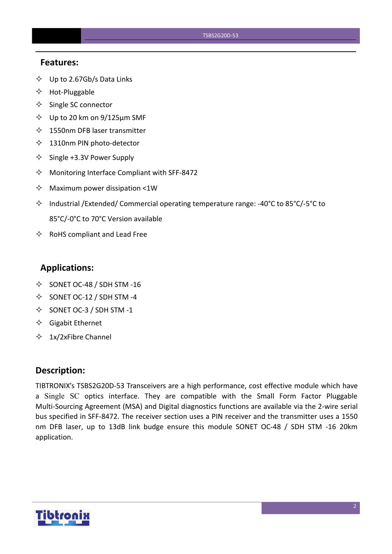#### **Features:**

- $\diamondsuit$  Up to 2.67Gb/s Data Links
- $\Leftrightarrow$  Hot-Pluggable
- $\Leftrightarrow$  Single SC connector
- $\diamond$  Up to 20 km on 9/125 µm SMF
- $\lozenge$  1550nm DFB laser transmitter
- $\lozenge$  1310nm PIN photo-detector
- $\diamond$  Single +3.3V Power Supply
- $\Diamond$  Monitoring Interface Compliant with SFF-8472
- $\Diamond$  Maximum power dissipation <1W
- Industrial /Extended/ Commercial operating temperature range: -40°C to 85°C/-5°C to 85°C/-0°C to 70°C Version available
- $\Leftrightarrow$  RoHS compliant and Lead Free

### **Applications:**

- $\diamond$  SONET OC-48 / SDH STM -16
- $\diamond$  SONET OC-12 / SDH STM -4
- $\diamond$  SONET OC-3 / SDH STM -1
- $\Diamond$  Gigabit Ethernet
- $\div$  1x/2xFibre Channel

#### **Description:**

TIBTRONIX's TSBS2G20D-53 Transceivers are a high performance, cost effective module which have a Single SC optics interface. They are compatible with the Small Form Factor Pluggable Multi-Sourcing Agreement (MSA) and Digital diagnostics functions are available via the 2-wire serial bus specified in SFF-8472. The receiver section uses a PIN receiver and the transmitter uses a 1550 nm DFB laser, up to 13dB link budge ensure this module SONET OC-48 / SDH STM -16 20km application.

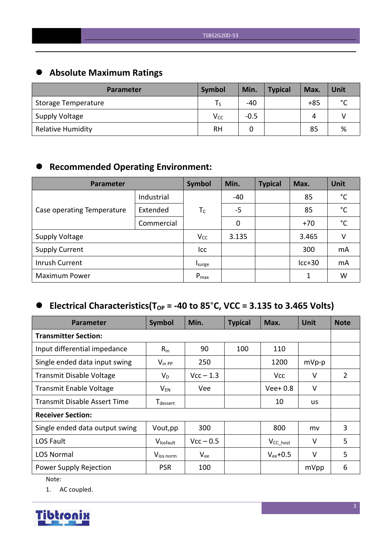# **Absolute Maximum Ratings**

| <b>Parameter</b>         | <b>Symbol</b>   | Min.   | <b>Typical</b> | Max.  | Unit        |
|--------------------------|-----------------|--------|----------------|-------|-------------|
| Storage Temperature      |                 | $-40$  |                | $+85$ | $\sim$<br>◡ |
| <b>Supply Voltage</b>    | V <sub>cc</sub> | $-0.5$ |                | Δ     |             |
| <b>Relative Humidity</b> | <b>RH</b>       |        |                | 85    | %           |

# **Recommended Operating Environment:**

| Parameter                  | Symbol     | Min.      | <b>Typical</b> | Max. | <b>Unit</b> |              |
|----------------------------|------------|-----------|----------------|------|-------------|--------------|
|                            | Industrial |           | $-40$          |      | 85          | $^{\circ}$ C |
| Case operating Temperature | Extended   | $T_C$     | $-5$           |      | 85          | $^{\circ}$ C |
|                            | Commercial |           | 0              |      | $+70$       | $^{\circ}$ C |
| <b>Supply Voltage</b>      |            | $V_{CC}$  | 3.135          |      | 3.465       | V            |
| <b>Supply Current</b>      |            | Icc       |                |      | 300         | mA           |
| Inrush Current             |            | Isurge    |                |      | $lcc+30$    | mA           |
| <b>Maximum Power</b>       |            | $P_{max}$ |                |      | 1           | W            |

# $\bullet$  Electrical Characteristics(T<sub>OP</sub> = -40 to 85°C, VCC = 3.135 to 3.465 Volts)

| <b>Parameter</b>                    | Symbol                      | Min.        | <b>Typical</b> | Max.           | <b>Unit</b> | <b>Note</b> |
|-------------------------------------|-----------------------------|-------------|----------------|----------------|-------------|-------------|
| <b>Transmitter Section:</b>         |                             |             |                |                |             |             |
| Input differential impedance        | $R_{in}$                    | 90          | 100            | 110            |             |             |
| Single ended data input swing       | $V_{\text{in PP}}$          | 250         |                | 1200           | $mVp-p$     |             |
| <b>Transmit Disable Voltage</b>     | $V_D$                       | $Vcc - 1.3$ |                | <b>Vcc</b>     | V           | 2           |
| <b>Transmit Enable Voltage</b>      | $V_{EN}$                    | Vee         |                | $Vee+0.8$      | $\vee$      |             |
| <b>Transmit Disable Assert Time</b> | <b>T</b> <sub>dessert</sub> |             |                | 10             | us          |             |
| <b>Receiver Section:</b>            |                             |             |                |                |             |             |
| Single ended data output swing      | Vout, pp                    | 300         |                | 800            | mv          | 3           |
| LOS Fault                           | Vlosfault                   | $Vcc - 0.5$ |                | $V_{CC\_host}$ | $\vee$      | 5           |
| <b>LOS Normal</b>                   | V <sub>los norm</sub>       | $V_{ee}$    |                | $V_{ee}$ +0.5  | $\vee$      | 5           |
| Power Supply Rejection              | <b>PSR</b>                  | 100         |                |                | mVpp        | 6           |

Note:

1. AC coupled.

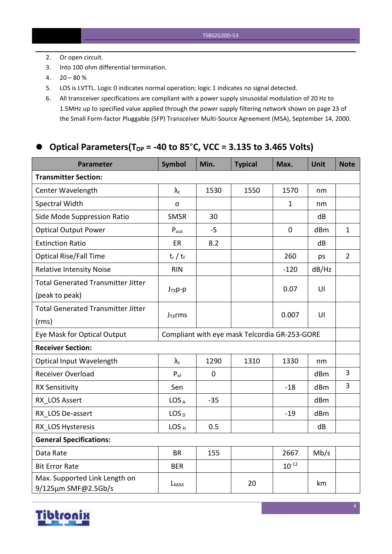- 2. Or open circuit.
- 3. Into 100 ohm differential termination.
- $4. \quad 20 80 \%$
- 5. LOS is LVTTL. Logic 0 indicates normal operation; logic 1 indicates no signal detected.
- 6. All transceiver specifications are compliant with a power supply sinusoidal modulation of 20 Hz to 1.5MHz up to specified value applied through the powersupply filtering network shown on page 23 of the Small Form-factor Pluggable (SFP) Transceiver Multi-Source Agreement (MSA), September 14, 2000.

#### **Optical Parameters(TOP = -40 to 85**°**C, VCC = 3.135 to 3.465 Volts)**

| <b>Parameter</b>                                     | <b>Symbol</b>                                 | Min.        | <b>Typical</b> | Max.         | Unit  | <b>Note</b>    |
|------------------------------------------------------|-----------------------------------------------|-------------|----------------|--------------|-------|----------------|
| <b>Transmitter Section:</b>                          |                                               |             |                |              |       |                |
| Center Wavelength                                    | $\lambda_{\rm c}$                             | 1530        | 1550           | 1570         | nm    |                |
| Spectral Width                                       | σ                                             |             |                | $\mathbf{1}$ | nm    |                |
| Side Mode Suppression Ratio                          | <b>SMSR</b>                                   | 30          |                |              | dB    |                |
| <b>Optical Output Power</b>                          | $P_{\text{out}}$                              | $-5$        |                | $\mathbf 0$  | dBm   | $\mathbf{1}$   |
| <b>Extinction Ratio</b>                              | ER                                            | 8.2         |                |              | dB    |                |
| <b>Optical Rise/Fall Time</b>                        | $t_r / t_f$                                   |             |                | 260          | ps    | $\overline{2}$ |
| <b>Relative Intensity Noise</b>                      | <b>RIN</b>                                    |             |                | $-120$       | dB/Hz |                |
| <b>Total Generated Transmitter Jitter</b>            |                                               |             |                |              | U     |                |
| (peak to peak)                                       | $J_{TX}p-p$                                   |             |                | 0.07         |       |                |
| <b>Total Generated Transmitter Jitter</b>            |                                               |             |                | 0.007        | U     |                |
| (rms)                                                | $J_{TX}$ rms                                  |             |                |              |       |                |
| Eye Mask for Optical Output                          | Compliant with eye mask Telcordia GR-253-GORE |             |                |              |       |                |
| <b>Receiver Section:</b>                             |                                               |             |                |              |       |                |
| Optical Input Wavelength                             | $\lambda_c$                                   | 1290        | 1310           | 1330         | nm    |                |
| Receiver Overload                                    | $P_{ol}$                                      | $\mathbf 0$ |                |              | dBm   | $\overline{3}$ |
| <b>RX Sensitivity</b>                                | Sen                                           |             |                | $-18$        | dBm   | 3              |
| RX LOS Assert                                        | LOS <sub>A</sub>                              | $-35$       |                |              | dBm   |                |
| RX LOS De-assert                                     | LOS <sub>D</sub>                              |             |                | $-19$        | dBm   |                |
| RX LOS Hysteresis                                    | LOS <sub>H</sub>                              | 0.5         |                |              | dB    |                |
| <b>General Specifications:</b>                       |                                               |             |                |              |       |                |
| Data Rate                                            | <b>BR</b>                                     | 155         |                | 2667         | Mb/s  |                |
| <b>Bit Error Rate</b>                                | <b>BER</b>                                    |             |                | $10^{-12}$   |       |                |
| Max. Supported Link Length on<br>9/125µm SMF@2.5Gb/s | L <sub>MAX</sub>                              |             | 20             |              | km    |                |

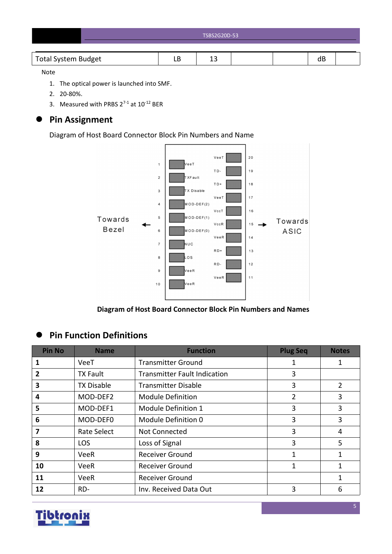| TSBS2G20D-53 |
|--------------|
|              |

#### Note

- 1. The optical power is launched into SMF.
- 2. 20-80%.
- 3. Measured with PRBS  $2^{7-1}$  at  $10^{-12}$  BER

# **Pin Assignment**

Diagram of Host Board Connector Block Pin Numbers and Name



**Diagram of Host Board Connector Block Pin Numbers and Names**

# **Pin Function Definitions**

| <b>Pin No</b> | <b>Name</b>        | <b>Function</b>                     | <b>Plug Seq</b> | <b>Notes</b> |
|---------------|--------------------|-------------------------------------|-----------------|--------------|
|               | VeeT               | <b>Transmitter Ground</b>           | 1               |              |
| 2             | <b>TX Fault</b>    | <b>Transmitter Fault Indication</b> | 3               |              |
| 3             | <b>TX Disable</b>  | <b>Transmitter Disable</b>          | 3               | 2            |
| 4             | MOD-DEF2           | <b>Module Definition</b>            | 2               | 3            |
| 5             | MOD-DEF1           | Module Definition 1                 | 3               | 3            |
| 6             | MOD-DEF0           | Module Definition 0                 | 3               | 3            |
|               | <b>Rate Select</b> | Not Connected                       | 3               | 4            |
| 8             | <b>LOS</b>         | Loss of Signal                      | 3               | 5            |
| 9             | VeeR               | <b>Receiver Ground</b>              | 1               | 1            |
| 10            | <b>VeeR</b>        | <b>Receiver Ground</b>              | 1               | 1            |
| 11            | <b>VeeR</b>        | <b>Receiver Ground</b>              |                 | 1            |
| 12            | RD-                | Inv. Received Data Out              | 3               | 6            |

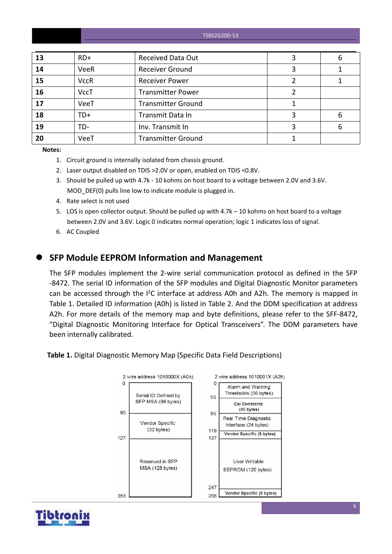| 13 | $RD+$       | <b>Received Data Out</b>  | 6 |
|----|-------------|---------------------------|---|
| 14 | <b>VeeR</b> | <b>Receiver Ground</b>    |   |
| 15 | <b>VccR</b> | <b>Receiver Power</b>     |   |
| 16 | <b>VccT</b> | <b>Transmitter Power</b>  |   |
| 17 | VeeT        | <b>Transmitter Ground</b> |   |
| 18 | TD+         | Transmit Data In          | 6 |
| 19 | TD-         | Inv. Transmit In          | 6 |
| 20 | VeeT        | <b>Transmitter Ground</b> |   |

**Notes:**

- 1. Circuit ground is internally isolated from chassis ground.
- 2. Laser output disabled on TDIS >2.0V or open, enabled on TDIS <0.8V.
- 3. Should be pulled up with 4.7k 10 kohms on host board to a voltage between 2.0V and 3.6V. MOD DEF(0) pulls line low to indicate module is plugged in.
- 4. Rate select is not used
- 5. LOS is open collector output. Should be pulled up with 4.7k 10 kohms on host board to a voltage between 2.0V and 3.6V. Logic 0 indicates normal operation; logic 1 indicates loss of signal.
- 6. AC Coupled

#### **SFP Module EEPROM Information and Management**

The SFP modules implement the 2-wire serial communication protocol as defined in the SFP -8472. The serial ID information of the SFP modules and Digital Diagnostic Monitor parameters can be accessed through the  $I^2C$  interface at address A0h and A2h. The memory is mapped in Table 1. Detailed ID information (A0h) is listed in Table 2. And the DDM specification at address A2h. For more details of the memory map and byte definitions, please refer to the SFF-8472, "Digital Diagnostic Monitoring Interface for Optical Transceivers". The DDM parameters have been internally calibrated.

**Table 1.** Digital Diagnostic Memory Map (Specific Data Field Descriptions)



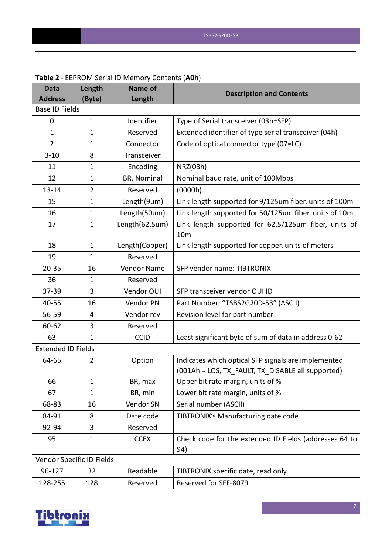| <b>Data</b>               | Length                    | Name of            | <b>Description and Contents</b>                                         |
|---------------------------|---------------------------|--------------------|-------------------------------------------------------------------------|
| <b>Address</b>            | (Byte)                    | Length             |                                                                         |
| <b>Base ID Fields</b>     |                           |                    |                                                                         |
| 0                         | $\mathbf{1}$              | Identifier         | Type of Serial transceiver (03h=SFP)                                    |
| $\mathbf{1}$              | $\mathbf{1}$              | Reserved           | Extended identifier of type serial transceiver (04h)                    |
| 2                         | $\mathbf{1}$              | Connector          | Code of optical connector type (07=LC)                                  |
| $3 - 10$                  | 8                         | Transceiver        |                                                                         |
| 11                        | $\mathbf{1}$              | Encoding           | NRZ(03h)                                                                |
| 12                        | $\mathbf{1}$              | BR, Nominal        | Nominal baud rate, unit of 100Mbps                                      |
| $13 - 14$                 | $\overline{2}$            | Reserved           | (0000h)                                                                 |
| 15                        | $\mathbf{1}$              | Length(9um)        | Link length supported for 9/125um fiber, units of 100m                  |
| 16                        | $\mathbf{1}$              | Length(50um)       | Link length supported for 50/125um fiber, units of 10m                  |
| 17                        | $\mathbf{1}$              | Length(62.5um)     | Link length supported for 62.5/125um fiber, units of<br>10 <sub>m</sub> |
| 18                        | $\mathbf{1}$              | Length(Copper)     | Link length supported for copper, units of meters                       |
| 19                        | $\mathbf{1}$              | Reserved           |                                                                         |
| $20 - 35$                 | 16                        | <b>Vendor Name</b> | SFP vendor name: TIBTRONIX                                              |
| 36                        | 1                         | Reserved           |                                                                         |
| 37-39                     | 3                         | Vendor OUI         | SFP transceiver vendor OUI ID                                           |
| 40-55                     | 16                        | Vendor PN          | Part Number: "TSBS2G20D-53" (ASCII)                                     |
| 56-59                     | 4                         | Vendor rev         | Revision level for part number                                          |
| 60-62                     | 3                         | Reserved           |                                                                         |
| 63                        | $\mathbf{1}$              | <b>CCID</b>        | Least significant byte of sum of data in address 0-62                   |
| <b>Extended ID Fields</b> |                           |                    |                                                                         |
| 64-65                     | 2                         | Option             | Indicates which optical SFP signals are implemented                     |
|                           |                           |                    | (001Ah = LOS, TX_FAULT, TX_DISABLE all supported)                       |
| 66                        | $\mathbf{1}$              | BR, max            | Upper bit rate margin, units of %                                       |
| 67                        | $\mathbf{1}$              | BR, min            | Lower bit rate margin, units of %                                       |
| 68-83                     | 16                        | Vendor SN          | Serial number (ASCII)                                                   |
| 84-91                     | 8                         | Date code          | TIBTRONIX's Manufacturing date code                                     |
| 92-94                     | 3                         | Reserved           |                                                                         |
| 95                        | $\mathbf{1}$              | <b>CCEX</b>        | Check code for the extended ID Fields (addresses 64 to<br>94)           |
|                           | Vendor Specific ID Fields |                    |                                                                         |
| 96-127                    | 32                        | Readable           | TIBTRONIX specific date, read only                                      |
| 128-255                   | 128                       | Reserved           | Reserved for SFF-8079                                                   |

#### **Table 2** - EEPROM Serial ID Memory Contents (**A0h**)

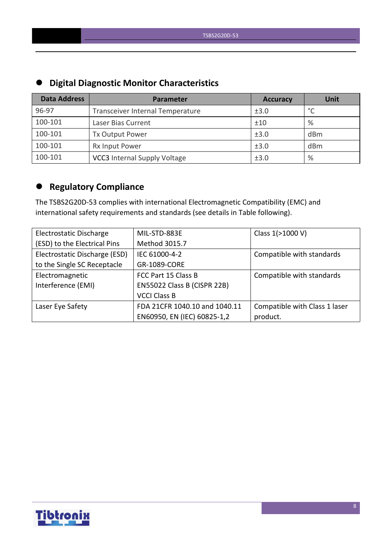| $-$                 |                                     |                 |                 |  |  |  |  |
|---------------------|-------------------------------------|-----------------|-----------------|--|--|--|--|
| <b>Data Address</b> | Parameter                           | <b>Accuracy</b> | <b>Unit</b>     |  |  |  |  |
| 96-97               | Transceiver Internal Temperature    | ±3.0            | $\circ$         |  |  |  |  |
| 100-101             | Laser Bias Current                  | ±10             | %               |  |  |  |  |
| 100-101             | Tx Output Power                     | ±3.0            | d <sub>Bm</sub> |  |  |  |  |
| 100-101             | Rx Input Power                      | ±3.0            | d <sub>Bm</sub> |  |  |  |  |
| 100-101             | <b>VCC3</b> Internal Supply Voltage | ±3.0            | %               |  |  |  |  |

# **Digital Diagnostic Monitor Characteristics**

# **Regulatory Compliance**

The TSBS2G20D-53 complies with international Electromagnetic Compatibility (EMC) and international safety requirements and standards (see details in Table following).

| Electrostatic Discharge       | MIL-STD-883E                  | Class 1(>1000 V)              |
|-------------------------------|-------------------------------|-------------------------------|
| (ESD) to the Electrical Pins  | Method 3015.7                 |                               |
| Electrostatic Discharge (ESD) | IEC 61000-4-2                 | Compatible with standards     |
| to the Single SC Receptacle   | GR-1089-CORE                  |                               |
| Electromagnetic               | FCC Part 15 Class B           | Compatible with standards     |
| Interference (EMI)            | EN55022 Class B (CISPR 22B)   |                               |
|                               | <b>VCCI Class B</b>           |                               |
| Laser Eye Safety              | FDA 21CFR 1040.10 and 1040.11 | Compatible with Class 1 laser |
|                               | EN60950, EN (IEC) 60825-1,2   | product.                      |

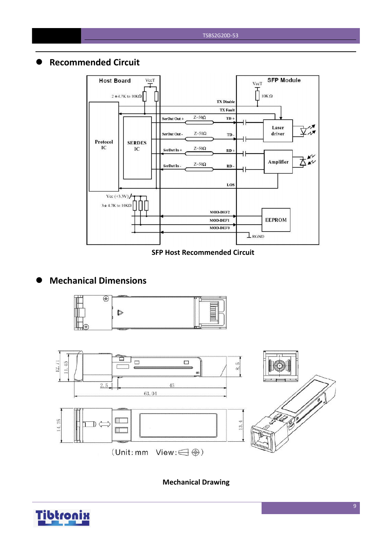## **Recommended Circuit**



#### **SFP Host Recommended Circuit**

# **Mechanical Dimensions**





**Mechanical Drawing**